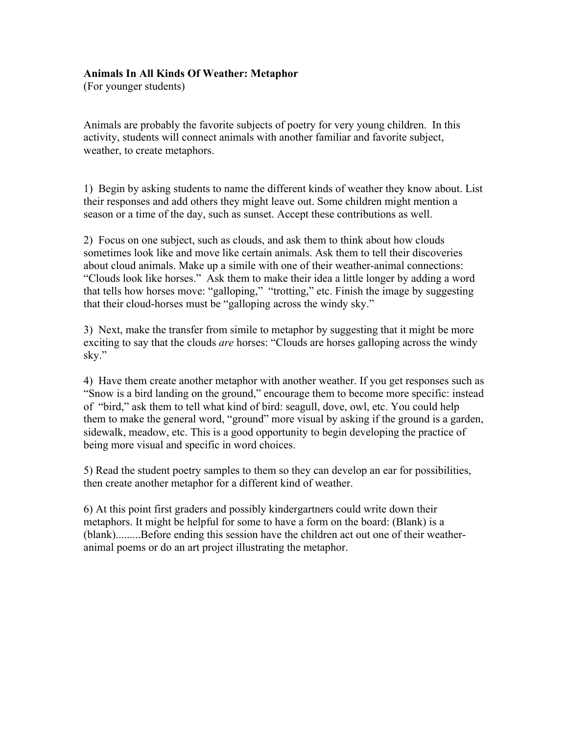## **Animals In All Kinds Of Weather: Metaphor**

(For younger students)

Animals are probably the favorite subjects of poetry for very young children. In this activity, students will connect animals with another familiar and favorite subject, weather, to create metaphors.

1) Begin by asking students to name the different kinds of weather they know about. List their responses and add others they might leave out. Some children might mention a season or a time of the day, such as sunset. Accept these contributions as well.

2) Focus on one subject, such as clouds, and ask them to think about how clouds sometimes look like and move like certain animals. Ask them to tell their discoveries about cloud animals. Make up a simile with one of their weather-animal connections: "Clouds look like horses." Ask them to make their idea a little longer by adding a word that tells how horses move: "galloping," "trotting," etc. Finish the image by suggesting that their cloud-horses must be "galloping across the windy sky."

3) Next, make the transfer from simile to metaphor by suggesting that it might be more exciting to say that the clouds *are* horses: "Clouds are horses galloping across the windy sky."

4) Have them create another metaphor with another weather. If you get responses such as "Snow is a bird landing on the ground," encourage them to become more specific: instead of "bird," ask them to tell what kind of bird: seagull, dove, owl, etc. You could help them to make the general word, "ground" more visual by asking if the ground is a garden, sidewalk, meadow, etc. This is a good opportunity to begin developing the practice of being more visual and specific in word choices.

5) Read the student poetry samples to them so they can develop an ear for possibilities, then create another metaphor for a different kind of weather.

6) At this point first graders and possibly kindergartners could write down their metaphors. It might be helpful for some to have a form on the board: (Blank) is a (blank).........Before ending this session have the children act out one of their weatheranimal poems or do an art project illustrating the metaphor.